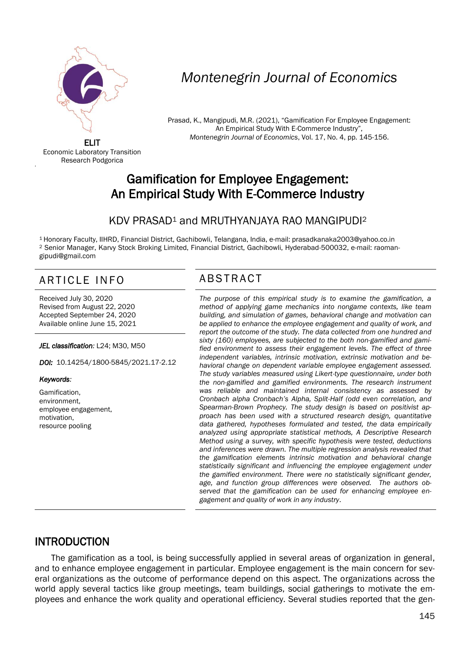

# *Montenegrin Journal of Economics*

Prasad, K., Mangipudi, M.R. (2021), "Gamification For Employee Engagement: An Empirical Study With E-Commerce Industry", *Montenegrin Journal of Economics*, Vol. 17, No. 4, pp. 145-156.

ELIT Economic Laboratory Transition Research Podgorica

'

# Gamification for Employee Engagement: An Empirical Study With E-Commerce Industry

#### KDV PRASAD<sup>1</sup> and MRUTHYANJAYA RAO MANGIPUDI<sup>2</sup>

<sup>1</sup> Honorary Faculty, IIHRD, Financial District, Gachibowli, Telangana, India, e-mail: prasadkanaka2003@yahoo.co.in <sup>2</sup> Senior Manager, Karvy Stock Broking Limited, Financial District, Gachibowli, Hyderabad-500032, e-mail: raomangipudi@gmail.com

## ARTICLE INFO ABSTRACT

Received July 30, 2020 Revised from August 22, 2020 Accepted September 24, 2020 Available online June 15, 2021

*JEL classification:* L24; M30, M50

*DOI:* 10.14254/1800-5845/2021.17-2.12

*Keywords:* 

Gamification, environment, employee engagement, motivation, resource pooling

 *The purpose of this empirical study is to examine the gamification, a method of applying game mechanics into nongame contexts, like team building, and simulation of games, behavioral change and motivation can be applied to enhance the employee engagement and quality of work, and report the outcome of the study. The data collected from one hundred and sixty (160) employees, are subjected to the both non-gamified and gamified environment to assess their engagement levels. The effect of three independent variables, intrinsic motivation, extrinsic motivation and behavioral change on dependent variable employee engagement assessed. The study variables measured using Likert-type questionnaire, under both the non-gamified and gamified environments. The research instrument was reliable and maintained internal consistency as assessed by Cronbach alpha Cronbach's Alpha, Split-Half (odd even correlation, and Spearman-Brown Prophecy. The study design is based on positivist approach has been used with a structured research design, quantitative data gathered, hypotheses formulated and tested, the data empirically analyzed using appropriate statistical methods, A Descriptive Research Method using a survey, with specific hypothesis were tested, deductions and inferences were drawn. The multiple regression analysis revealed that the gamification elements intrinsic motivation and behavioral change statistically significant and influencing the employee engagement under the gamified environment. There were no statistically significant gender, age, and function group differences were observed. The authors observed that the gamification can be used for enhancing employee engagement and quality of work in any industry*.

#### INTRODUCTION

The gamification as a tool, is being successfully applied in several areas of organization in general, and to enhance employee engagement in particular. Employee engagement is the main concern for several organizations as the outcome of performance depend on this aspect. The organizations across the world apply several tactics like group meetings, team buildings, social gatherings to motivate the employees and enhance the work quality and operational efficiency. Several studies reported that the gen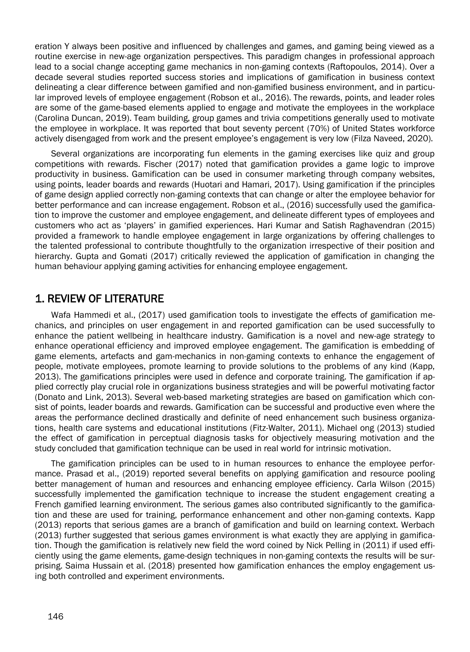eration Y always been positive and influenced by challenges and games, and gaming being viewed as a routine exercise in new-age organization perspectives. This paradigm changes in professional approach lead to a social change accepting game mechanics in non-gaming contexts (Raftopoulos, 2014). Over a decade several studies reported success stories and implications of gamification in business context delineating a clear difference between gamified and non-gamified business environment, and in particular improved levels of employee engagement (Robson et al., 2016). The rewards, points, and leader roles are some of the game-based elements applied to engage and motivate the employees in the workplace (Carolina Duncan, 2019). Team building, group games and trivia competitions generally used to motivate the employee in workplace. It was reported that bout seventy percent (70%) of United States workforce actively disengaged from work and the present employee's engagement is very low (Filza Naveed, 2020).

Several organizations are incorporating fun elements in the gaming exercises like quiz and group competitions with rewards. Fischer (2017) noted that gamification provides a game logic to improve productivity in business. Gamification can be used in consumer marketing through company websites, using points, leader boards and rewards (Huotari and Hamari, 2017). Using gamification if the principles of game design applied correctly non-gaming contexts that can change or alter the employee behavior for better performance and can increase engagement. Robson et al., (2016) successfully used the gamification to improve the customer and employee engagement, and delineate different types of employees and customers who act as 'players' in gamified experiences. Hari Kumar and Satish Raghavendran (2015) provided a framework to handle employee engagement in large organizations by offering challenges to the talented professional to contribute thoughtfully to the organization irrespective of their position and hierarchy. Gupta and Gomati (2017) critically reviewed the application of gamification in changing the human behaviour applying gaming activities for enhancing employee engagement.

## 1. REVIEW OF LITERATURE

Wafa Hammedi et al., (2017) used gamification tools to investigate the effects of gamification mechanics, and principles on user engagement in and reported gamification can be used successfully to enhance the patient wellbeing in healthcare industry. Gamification is a novel and new-age strategy to enhance operational efficiency and improved employee engagement. The gamification is embedding of game elements, artefacts and gam-mechanics in non-gaming contexts to enhance the engagement of people, motivate employees, promote learning to provide solutions to the problems of any kind (Kapp, 2013). The gamifications principles were used in defence and corporate training. The gamification if applied correctly play crucial role in organizations business strategies and will be powerful motivating factor (Donato and Link, 2013). Several web-based marketing strategies are based on gamification which consist of points, leader boards and rewards. Gamification can be successful and productive even where the areas the performance declined drastically and definite of need enhancement such business organizations, health care systems and educational institutions (Fitz-Walter, 2011). Michael ong (2013) studied the effect of gamification in perceptual diagnosis tasks for objectively measuring motivation and the study concluded that gamification technique can be used in real world for intrinsic motivation.

The gamification principles can be used to in human resources to enhance the employee performance. Prasad et al., (2019) reported several benefits on applying gamification and resource pooling better management of human and resources and enhancing employee efficiency. Carla Wilson (2015) successfully implemented the gamification technique to increase the student engagement creating a French gamified learning environment. The serious games also contributed significantly to the gamification and these are used for training, performance enhancement and other non-gaming contexts. Kapp (2013) reports that serious games are a branch of gamification and build on learning context. Werbach (2013) further suggested that serious games environment is what exactly they are applying in gamification. Though the gamification is relatively new field the word coined by Nick Pelling in (2011) if used efficiently using the game elements, game-design techniques in non-gaming contexts the results will be surprising. Saima Hussain et al. (2018) presented how gamification enhances the employ engagement using both controlled and experiment environments.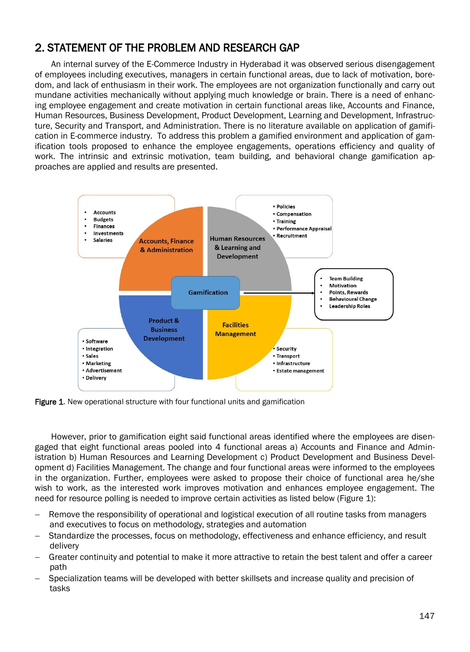## 2. STATEMENT OF THE PROBLEM AND RESEARCH GAP

An internal survey of the E-Commerce Industry in Hyderabad it was observed serious disengagement of employees including executives, managers in certain functional areas, due to lack of motivation, boredom, and lack of enthusiasm in their work. The employees are not organization functionally and carry out mundane activities mechanically without applying much knowledge or brain. There is a need of enhancing employee engagement and create motivation in certain functional areas like, Accounts and Finance, Human Resources, Business Development, Product Development, Learning and Development, Infrastructure, Security and Transport, and Administration. There is no literature available on application of gamification in E-commerce industry. To address this problem a gamified environment and application of gamification tools proposed to enhance the employee engagements, operations efficiency and quality of work. The intrinsic and extrinsic motivation, team building, and behavioral change gamification approaches are applied and results are presented.



Figure 1. New operational structure with four functional units and gamification

However, prior to gamification eight said functional areas identified where the employees are disengaged that eight functional areas pooled into 4 functional areas a) Accounts and Finance and Administration b) Human Resources and Learning Development c) Product Development and Business Development d) Facilities Management. The change and four functional areas were informed to the employees in the organization. Further, employees were asked to propose their choice of functional area he/she wish to work, as the interested work improves motivation and enhances employee engagement. The need for resource polling is needed to improve certain activities as listed below (Figure 1):

- Remove the responsibility of operational and logistical execution of all routine tasks from managers and executives to focus on methodology, strategies and automation
- Standardize the processes, focus on methodology, effectiveness and enhance efficiency, and result delivery
- Greater continuity and potential to make it more attractive to retain the best talent and offer a career path
- Specialization teams will be developed with better skillsets and increase quality and precision of tasks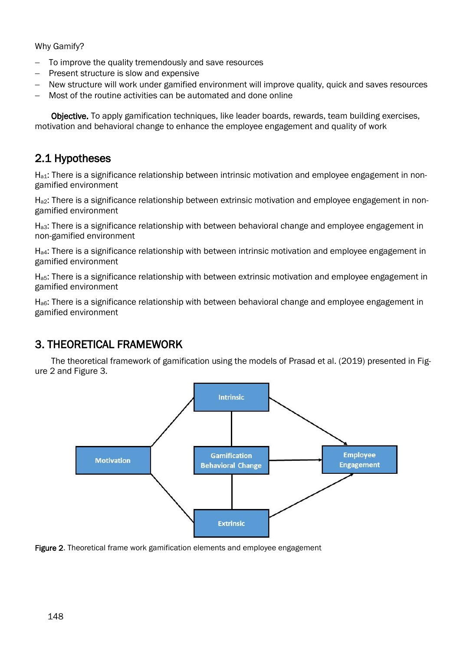#### Why Gamify?

- To improve the quality tremendously and save resources
- Present structure is slow and expensive
- New structure will work under gamified environment will improve quality, quick and saves resources
- Most of the routine activities can be automated and done online

Objective. To apply gamification techniques, like leader boards, rewards, team building exercises, motivation and behavioral change to enhance the employee engagement and quality of work

#### 2.1 Hypotheses

Ha1: There is a significance relationship between intrinsic motivation and employee engagement in nongamified environment

Ha2: There is a significance relationship between extrinsic motivation and employee engagement in nongamified environment

Ha3: There is a significance relationship with between behavioral change and employee engagement in non-gamified environment

Ha4: There is a significance relationship with between intrinsic motivation and employee engagement in gamified environment

Ha5: There is a significance relationship with between extrinsic motivation and employee engagement in gamified environment

Ha6: There is a significance relationship with between behavioral change and employee engagement in gamified environment

## 3. THEORETICAL FRAMEWORK

The theoretical framework of gamification using the models of Prasad et al. (2019) presented in Figure 2 and Figure 3.



Figure 2. Theoretical frame work gamification elements and employee engagement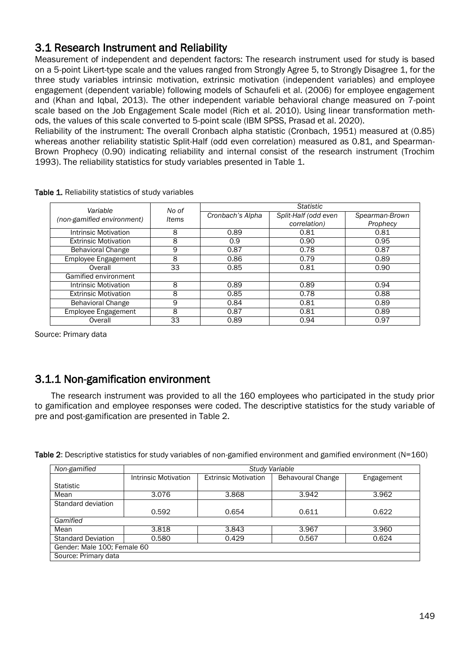## 3.1 Research Instrument and Reliability

Measurement of independent and dependent factors: The research instrument used for study is based on a 5-point Likert-type scale and the values ranged from Strongly Agree 5, to Strongly Disagree 1, for the three study variables intrinsic motivation, extrinsic motivation (independent variables) and employee engagement (dependent variable) following models of Schaufeli et al. (2006) for employee engagement and (Khan and Iqbal, 2013). The other independent variable behavioral change measured on 7-point scale based on the Job Engagement Scale model (Rich et al. 2010). Using linear transformation methods, the values of this scale converted to 5-point scale (IBM SPSS, Prasad et al. 2020).

Reliability of the instrument: The overall Cronbach alpha statistic (Cronbach, 1951) measured at (0.85) whereas another reliability statistic Split-Half (odd even correlation) measured as 0.81, and Spearman-Brown Prophecy (0.90) indicating reliability and internal consist of the research instrument (Trochim 1993). The reliability statistics for study variables presented in Table 1.

| Variable                    | No of<br><i>Items</i> | Statistic        |                      |                |  |  |  |
|-----------------------------|-----------------------|------------------|----------------------|----------------|--|--|--|
| (non-gamified environment)  |                       | Cronbach's Alpha | Split-Half (odd even | Spearman-Brown |  |  |  |
|                             |                       |                  | correlation)         | Prophecy       |  |  |  |
| <b>Intrinsic Motivation</b> | 8                     | 0.89             | 0.81                 | 0.81           |  |  |  |
| <b>Extrinsic Motivation</b> | 8                     | 0.9              | 0.90                 | 0.95           |  |  |  |
| <b>Behavioral Change</b>    | 9                     | 0.87             | 0.78                 | 0.87           |  |  |  |
| Employee Engagement         | 8                     | 0.86             | 0.79                 | 0.89           |  |  |  |
| Overall                     | 33                    | 0.85             | 0.81                 | 0.90           |  |  |  |
| Gamified environment        |                       |                  |                      |                |  |  |  |
| <b>Intrinsic Motivation</b> | 8                     | 0.89             | 0.89                 | 0.94           |  |  |  |
| <b>Extrinsic Motivation</b> | 8                     | 0.85             | 0.78                 | 0.88           |  |  |  |
| <b>Behavioral Change</b>    | 9                     | 0.84             | 0.81                 | 0.89           |  |  |  |
| Employee Engagement         | 8                     | 0.87             | 0.81                 | 0.89           |  |  |  |
| Overall                     | 33                    | 0.89             | 0.94                 | 0.97           |  |  |  |

| Table 1. Reliability statistics of study variables |  |
|----------------------------------------------------|--|
|----------------------------------------------------|--|

Source: Primary data

#### 3.1.1 Non-gamification environment

The research instrument was provided to all the 160 employees who participated in the study prior to gamification and employee responses were coded. The descriptive statistics for the study variable of pre and post-gamification are presented in Table 2.

Table 2: Descriptive statistics for study variables of non-gamified environment and gamified environment (N=160)

| Non-gamified                       | Study Variable              |                             |                   |            |  |  |  |  |
|------------------------------------|-----------------------------|-----------------------------|-------------------|------------|--|--|--|--|
|                                    | <b>Intrinsic Motivation</b> | <b>Extrinsic Motivation</b> | Behavoural Change | Engagement |  |  |  |  |
| <b>Statistic</b>                   |                             |                             |                   |            |  |  |  |  |
| Mean                               | 3.076                       | 3.868                       | 3.942             | 3.962      |  |  |  |  |
| Standard deviation                 |                             |                             |                   |            |  |  |  |  |
|                                    | 0.592                       | 0.654                       | 0.611             | 0.622      |  |  |  |  |
| Gamified                           |                             |                             |                   |            |  |  |  |  |
| 3.818<br>Mean                      |                             | 3.843                       | 3.967             | 3.960      |  |  |  |  |
| <b>Standard Deviation</b><br>0.580 |                             | 0.429<br>0.567              |                   | 0.624      |  |  |  |  |
| Gender: Male 100; Female 60        |                             |                             |                   |            |  |  |  |  |
| Source: Primary data               |                             |                             |                   |            |  |  |  |  |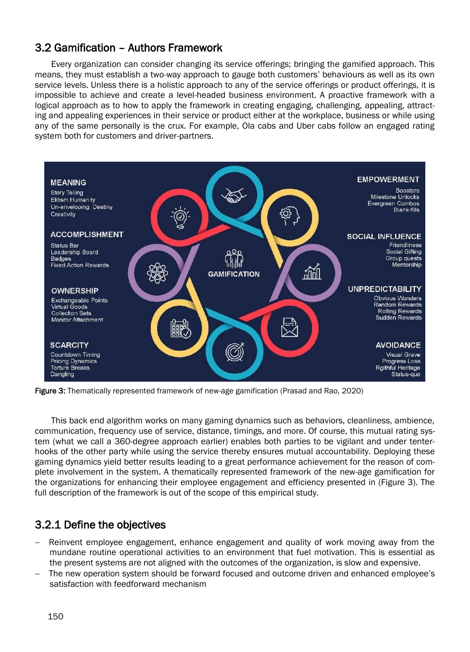#### 3.2 Gamification – Authors Framework

Every organization can consider changing its service offerings; bringing the gamified approach. This means, they must establish a two-way approach to gauge both customers' behaviours as well as its own service levels. Unless there is a holistic approach to any of the service offerings or product offerings, it is impossible to achieve and create a level-headed business environment. A proactive framework with a logical approach as to how to apply the framework in creating engaging, challenging, appealing, attracting and appealing experiences in their service or product either at the workplace, business or while using any of the same personally is the crux. For example, Ola cabs and Uber cabs follow an engaged rating system both for customers and driver-partners.



Figure 3: Thematically represented framework of new-age gamification (Prasad and Rao, 2020)

This back end algorithm works on many gaming dynamics such as behaviors, cleanliness, ambience, communication, frequency use of service, distance, timings, and more. Of course, this mutual rating system (what we call a 360-degree approach earlier) enables both parties to be vigilant and under tenterhooks of the other party while using the service thereby ensures mutual accountability. Deploying these gaming dynamics yield better results leading to a great performance achievement for the reason of complete involvement in the system. A thematically represented framework of the new-age gamification for the organizations for enhancing their employee engagement and efficiency presented in (Figure 3). The full description of the framework is out of the scope of this empirical study.

#### 3.2.1 Define the objectives

- Reinvent employee engagement, enhance engagement and quality of work moving away from the mundane routine operational activities to an environment that fuel motivation. This is essential as the present systems are not aligned with the outcomes of the organization, is slow and expensive.
- The new operation system should be forward focused and outcome driven and enhanced employee's satisfaction with feedforward mechanism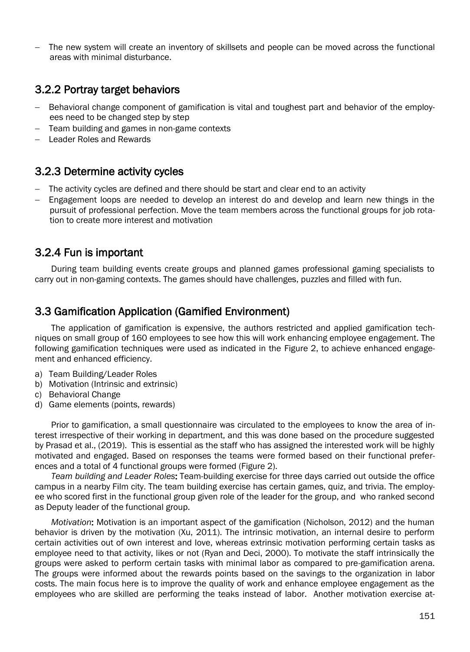The new system will create an inventory of skillsets and people can be moved across the functional areas with minimal disturbance.

#### 3.2.2 Portray target behaviors

- Behavioral change component of gamification is vital and toughest part and behavior of the employees need to be changed step by step
- Team building and games in non-game contexts
- Leader Roles and Rewards

#### 3.2.3 Determine activity cycles

- The activity cycles are defined and there should be start and clear end to an activity
- Engagement loops are needed to develop an interest do and develop and learn new things in the pursuit of professional perfection. Move the team members across the functional groups for job rotation to create more interest and motivation

#### 3.2.4 Fun is important

During team building events create groups and planned games professional gaming specialists to carry out in non-gaming contexts. The games should have challenges, puzzles and filled with fun.

#### 3.3 Gamification Application (Gamified Environment)

The application of gamification is expensive, the authors restricted and applied gamification techniques on small group of 160 employees to see how this will work enhancing employee engagement. The following gamification techniques were used as indicated in the Figure 2, to achieve enhanced engagement and enhanced efficiency.

- a) Team Building/Leader Roles
- b) Motivation (Intrinsic and extrinsic)
- c) Behavioral Change
- d) Game elements (points, rewards)

Prior to gamification, a small questionnaire was circulated to the employees to know the area of interest irrespective of their working in department, and this was done based on the procedure suggested by Prasad et al., (2019). This is essential as the staff who has assigned the interested work will be highly motivated and engaged. Based on responses the teams were formed based on their functional preferences and a total of 4 functional groups were formed (Figure 2).

*Team building and Leader Roles*: Team-building exercise for three days carried out outside the office campus in a nearby Film city. The team building exercise has certain games, quiz, and trivia. The employee who scored first in the functional group given role of the leader for the group, and who ranked second as Deputy leader of the functional group.

*Motivation*: Motivation is an important aspect of the gamification (Nicholson, 2012) and the human behavior is driven by the motivation (Xu, 2011). The intrinsic motivation, an internal desire to perform certain activities out of own interest and love, whereas extrinsic motivation performing certain tasks as employee need to that activity, likes or not (Ryan and Deci, 2000). To motivate the staff intrinsically the groups were asked to perform certain tasks with minimal labor as compared to pre-gamification arena. The groups were informed about the rewards points based on the savings to the organization in labor costs. The main focus here is to improve the quality of work and enhance employee engagement as the employees who are skilled are performing the teaks instead of labor. Another motivation exercise at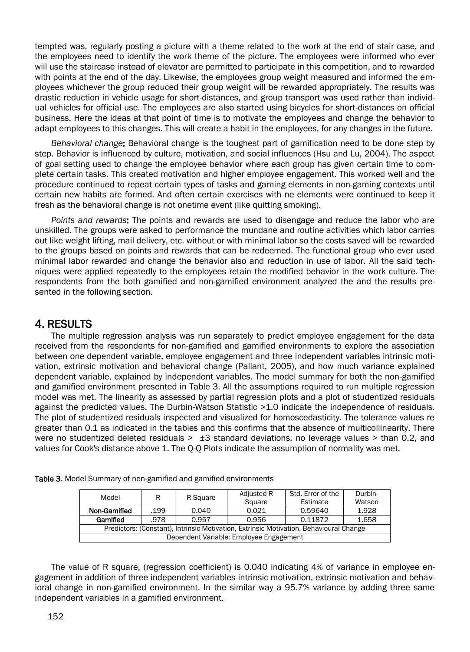tempted was, regularly posting a picture with a theme related to the work at the end of stair case, and the employees need to identify the work theme of the picture. The employees were informed who ever will use the staircase instead of elevator are permitted to participate in this competition, and to rewarded with points at the end of the day. Likewise, the employees group weight measured and informed the employees whichever the group reduced their group weight will be rewarded appropriately. The results was drastic reduction in vehicle usage for short-distances, and group transport was used rather than individual vehicles for official use. The employees are also started using bicycles for short-distances on official business. Here the ideas at that point of time is to motivate the employees and change the behavior to adapt employees to this changes. This will create a habit in the employees, for any changes in the future.

*Behavioral change*: Behavioral change is the toughest part of gamification need to be done step by step. Behavior is influenced by culture, motivation, and social influences (Hsu and Lu, 2004). The aspect of goal setting used to change the employee behavior where each group has given certain time to complete certain tasks. This created motivation and higher employee engagement. This worked well and the procedure continued to repeat certain types of tasks and gaming elements in non-gaming contexts until certain new habits are formed. And often certain exercises with ne elements were continued to keep it fresh as the behavioral change is not onetime event (like quitting smoking).

*Points and rewards*: The points and rewards are used to disengage and reduce the labor who are unskilled. The groups were asked to performance the mundane and routine activities which labor carries out like weight lifting, mail delivery, etc. without or with minimal labor so the costs saved will be rewarded to the groups based on points and rewards that can be redeemed. The functional group who ever used minimal labor rewarded and change the behavior also and reduction in use of labor. All the said techniques were applied repeatedly to the employees retain the modified behavior in the work culture. The respondents from the both gamified and non-gamified environment analyzed the and the results presented in the following section.

#### 4. RESULTS

The multiple regression analysis was run separately to predict employee engagement for the data received from the respondents for non-gamified and gamified environments to explore the association between one dependent variable, employee engagement and three independent variables intrinsic motivation, extrinsic motivation and behavioral change (Pallant, 2005), and how much variance explained dependent variable, explained by independent variables. The model summary for both the non-gamified and gamified environment presented in Table 3. All the assumptions required to run multiple regression model was met. The linearity as assessed by partial regression plots and a plot of studentized residuals against the predicted values. The Durbin-Watson Statistic >1.0 indicate the independence of residuals. The plot of studentized residuals inspected and visualized for homoscedasticity. The tolerance values re greater than 0.1 as indicated in the tables and this confirms that the absence of multicollinearity. There were no studentized deleted residuals  $> \pm 3$  standard deviations, no leverage values  $>$  than 0.2, and values for Cook's distance above 1. The Q-Q Plots indicate the assumption of normality was met.

| Model                     | R                                                                                      | R Square      | Adjusted R | Std. Error of the | Durbin- |       |  |  |  |
|---------------------------|----------------------------------------------------------------------------------------|---------------|------------|-------------------|---------|-------|--|--|--|
|                           |                                                                                        |               | Square     | Estimate          | Watson  |       |  |  |  |
|                           | Non-Gamified                                                                           | 0.040<br>.199 |            | 0.021             | 0.59640 | 1.928 |  |  |  |
| Gamified<br>.978<br>0.957 |                                                                                        | 0.956         | 0.11872    | 1.658             |         |       |  |  |  |
|                           | Predictors: (Constant), Intrinsic Motivation, Extrinsic Motivation, Behavioural Change |               |            |                   |         |       |  |  |  |
|                           | Dependent Variable: Employee Engagement                                                |               |            |                   |         |       |  |  |  |

Table 3. Model Summary of non-gamified and gamified environments

The value of R square, (regression coefficient) is 0.040 indicating 4% of variance in employee engagement in addition of three independent variables intrinsic motivation, extrinsic motivation and behavioral change in non-gamified environment. In the similar way a 95.7% variance by adding three same independent variables in a gamified environment.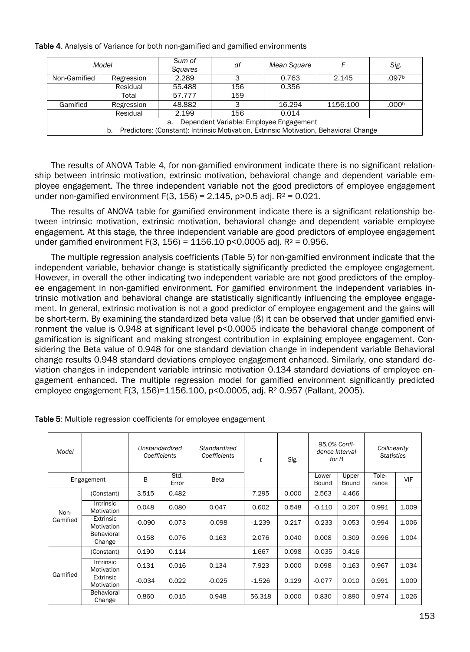#### Table 4. Analysis of Variance for both non-gamified and gamified environments

| Model                                                                                       |            | Sum of<br>Squares | df  | Mean Square |          | Sig.              |  |  |
|---------------------------------------------------------------------------------------------|------------|-------------------|-----|-------------|----------|-------------------|--|--|
| Non-Gamified                                                                                | Regression |                   | 3   | 0.763       | 2.145    | .097b             |  |  |
| Residual                                                                                    |            | 55.488            | 156 | 0.356       |          |                   |  |  |
| Total                                                                                       |            | 57.777            | 159 |             |          |                   |  |  |
| Gamified<br>Regression                                                                      |            | 48.882            | 3   | 16.294      | 1156.100 | .000 <sub>b</sub> |  |  |
|                                                                                             | Residual   | 2.199             | 156 | 0.014       |          |                   |  |  |
| Dependent Variable: Employee Engagement<br>a.                                               |            |                   |     |             |          |                   |  |  |
| Predictors: (Constant): Intrinsic Motivation, Extrinsic Motivation, Behavioral Change<br>b. |            |                   |     |             |          |                   |  |  |

The results of ANOVA Table 4, for non-gamified environment indicate there is no significant relationship between intrinsic motivation, extrinsic motivation, behavioral change and dependent variable employee engagement. The three independent variable not the good predictors of employee engagement under non-gamified environment F(3, 156) =  $2.145$ , p $>0.5$  adj. R<sup>2</sup> = 0.021.

The results of ANOVA table for gamified environment indicate there is a significant relationship between intrinsic motivation, extrinsic motivation, behavioral change and dependent variable employee engagement. At this stage, the three independent variable are good predictors of employee engagement under gamified environment F(3, 156) = 1156.10 p<0.0005 adj.  $R^2$  = 0.956.

The multiple regression analysis coefficients (Table 5) for non-gamified environment indicate that the independent variable, behavior change is statistically significantly predicted the employee engagement. However, in overall the other indicating two independent variable are not good predictors of the employee engagement in non-gamified environment. For gamified environment the independent variables intrinsic motivation and behavioral change are statistically significantly influencing the employee engagement. In general, extrinsic motivation is not a good predictor of employee engagement and the gains will be short-term. By examining the standardized beta value (ß) it can be observed that under gamified environment the value is 0.948 at significant level p<0.0005 indicate the behavioral change component of gamification is significant and making strongest contribution in explaining employee engagement. Considering the Beta value of 0.948 for one standard deviation change in independent variable Behavioral change results 0.948 standard deviations employee engagement enhanced. Similarly, one standard deviation changes in independent variable intrinsic motivation 0.134 standard deviations of employee engagement enhanced. The multiple regression model for gamified environment significantly predicted employee engagement F(3, 156)=1156.100, p<0.0005, adj. R<sup>2</sup> 0.957 (Pallant, 2005).

| Model            |                                | Unstandardized<br>Coefficients |               | Standardized<br>Coefficients | t        | Sig.  | 95.0% Confi-<br>dence Interval<br>for B |                | Collinearity<br><b>Statistics</b> |            |
|------------------|--------------------------------|--------------------------------|---------------|------------------------------|----------|-------|-----------------------------------------|----------------|-----------------------------------|------------|
|                  | Engagement                     | B                              | Std.<br>Error | Beta                         |          |       | Lower<br>Bound                          | Upper<br>Bound | Tole-<br>rance                    | <b>VIF</b> |
|                  | (Constant)                     | 3.515                          | 0.482         |                              | 7.295    | 0.000 | 2.563                                   | 4.466          |                                   |            |
| Non-<br>Gamified | Intrinsic<br>Motivation        | 0.048                          | 0.080         | 0.047                        | 0.602    | 0.548 | $-0.110$                                | 0.207          | 0.991                             | 1.009      |
|                  | Extrinsic<br>Motivation        | $-0.090$                       | 0.073         | $-0.098$                     | $-1.239$ | 0.217 | $-0.233$                                | 0.053          | 0.994                             | 1.006      |
|                  | Behavioral<br>Change           | 0.158                          | 0.076         | 0.163                        | 2.076    | 0.040 | 0.008                                   | 0.309          | 0.996                             | 1.004      |
|                  | (Constant)                     | 0.190                          | 0.114         |                              | 1.667    | 0.098 | $-0.035$                                | 0.416          |                                   |            |
| Gamified         | <b>Intrinsic</b><br>Motivation | 0.131                          | 0.016         | 0.134                        | 7.923    | 0.000 | 0.098                                   | 0.163          | 0.967                             | 1.034      |
|                  | Extrinsic<br>Motivation        | $-0.034$                       | 0.022         | $-0.025$                     | $-1.526$ | 0.129 | $-0.077$                                | 0.010          | 0.991                             | 1.009      |
|                  | <b>Behavioral</b><br>Change    | 0.860                          | 0.015         | 0.948                        | 56.318   | 0.000 | 0.830                                   | 0.890          | 0.974                             | 1.026      |

Table 5: Multiple regression coefficients for employee engagement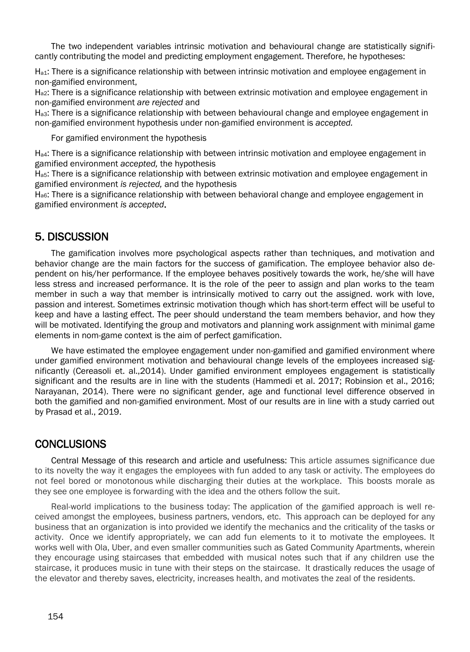The two independent variables intrinsic motivation and behavioural change are statistically significantly contributing the model and predicting employment engagement. Therefore, he hypotheses:

Ha1: There is a significance relationship with between intrinsic motivation and employee engagement in non-gamified environment,

H<sub>a2</sub>: There is a significance relationship with between extrinsic motivation and employee engagement in non-gamified environment *are rejected* and

Ha3: There is a significance relationship with between behavioural change and employee engagement in non-gamified environment hypothesis under non-gamified environment is *accepted.*

For gamified environment the hypothesis

Ha4: There is a significance relationship with between intrinsic motivation and employee engagement in gamified environment *accepted,* the hypothesis

Ha5: There is a significance relationship with between extrinsic motivation and employee engagement in gamified environment *is rejected,* and the hypothesis

H<sub>a6</sub>: There is a significance relationship with between behavioral change and employee engagement in gamified environment *is accepted*.

#### 5. DISCUSSION

The gamification involves more psychological aspects rather than techniques, and motivation and behavior change are the main factors for the success of gamification. The employee behavior also dependent on his/her performance. If the employee behaves positively towards the work, he/she will have less stress and increased performance. It is the role of the peer to assign and plan works to the team member in such a way that member is intrinsically motived to carry out the assigned. work with love, passion and interest. Sometimes extrinsic motivation though which has short-term effect will be useful to keep and have a lasting effect. The peer should understand the team members behavior, and how they will be motivated. Identifying the group and motivators and planning work assignment with minimal game elements in nom-game context is the aim of perfect gamification.

We have estimated the employee engagement under non-gamified and gamified environment where under gamified environment motivation and behavioural change levels of the employees increased significantly (Cereasoli et. al.,2014). Under gamified environment employees engagement is statistically significant and the results are in line with the students (Hammedi et al. 2017; Robinsion et al., 2016; Narayanan, 2014). There were no significant gender, age and functional level difference observed in both the gamified and non-gamified environment. Most of our results are in line with a study carried out by Prasad et al., 2019.

#### **CONCLUSIONS**

Central Message of this research and article and usefulness: This article assumes significance due to its novelty the way it engages the employees with fun added to any task or activity. The employees do not feel bored or monotonous while discharging their duties at the workplace. This boosts morale as they see one employee is forwarding with the idea and the others follow the suit.

Real-world implications to the business today: The application of the gamified approach is well received amongst the employees, business partners, vendors, etc. This approach can be deployed for any business that an organization is into provided we identify the mechanics and the criticality of the tasks or activity. Once we identify appropriately, we can add fun elements to it to motivate the employees. It works well with Ola, Uber, and even smaller communities such as Gated Community Apartments, wherein they encourage using staircases that embedded with musical notes such that if any children use the staircase, it produces music in tune with their steps on the staircase. It drastically reduces the usage of the elevator and thereby saves, electricity, increases health, and motivates the zeal of the residents.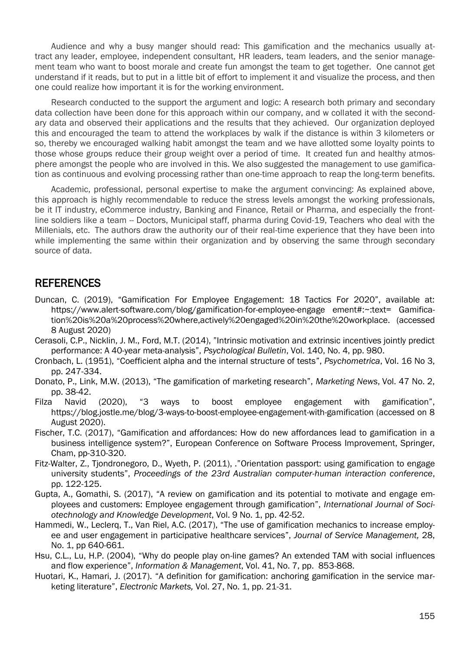Audience and why a busy manger should read: This gamification and the mechanics usually attract any leader, employee, independent consultant, HR leaders, team leaders, and the senior management team who want to boost morale and create fun amongst the team to get together. One cannot get understand if it reads, but to put in a little bit of effort to implement it and visualize the process, and then one could realize how important it is for the working environment.

Research conducted to the support the argument and logic: A research both primary and secondary data collection have been done for this approach within our company, and w collated it with the secondary data and observed their applications and the results that they achieved. Our organization deployed this and encouraged the team to attend the workplaces by walk if the distance is within 3 kilometers or so, thereby we encouraged walking habit amongst the team and we have allotted some loyalty points to those whose groups reduce their group weight over a period of time. It created fun and healthy atmosphere amongst the people who are involved in this. We also suggested the management to use gamification as continuous and evolving processing rather than one-time approach to reap the long-term benefits.

Academic, professional, personal expertise to make the argument convincing: As explained above, this approach is highly recommendable to reduce the stress levels amongst the working professionals, be it IT industry, eCommerce industry, Banking and Finance, Retail or Pharma, and especially the frontline soldiers like a team -- Doctors, Municipal staff, pharma during Covid-19, Teachers who deal with the Millenials, etc. The authors draw the authority our of their real-time experience that they have been into while implementing the same within their organization and by observing the same through secondary source of data.

#### **REFERENCES**

- Duncan, C. (2019), "Gamification For Employee Engagement: 18 Tactics For 2020", available at: https://www.alert-software.com/blog/gamification-for-employee-engage ement#:~:text= Gamification%20is%20a%20process%20where,actively%20engaged%20in%20the%20workplace. (accessed 8 August 2020)
- Cerasoli, C.P., Nicklin, J. M., Ford, M.T. (2014), "Intrinsic motivation and extrinsic incentives jointly predict performance: A 40-year meta-analysis", *Psychological Bulletin*, Vol. 140, No. 4, pp. 980.
- Cronbach, L. (1951), "Coefficient alpha and the internal structure of tests", *Psychometrica*, Vol. 16 No 3, pp. 247-334.
- Donato, P., Link, M.W. (2013), "The gamification of marketing research", *Marketing News*, Vol. 47 No. 2, pp. 38-42.
- Filza Navid (2020), "3 ways to boost employee engagement with gamification", <https://blog.jostle.me/blog/3-ways-to-boost-employee-engagement-with-gamification> (accessed on 8 August 2020).
- Fischer, T.C. (2017), "Gamification and affordances: How do new affordances lead to gamification in a business intelligence system?", European Conference on Software Process Improvement, Springer, Cham, pp-310-320.
- Fitz-Walter, Z., Tjondronegoro, D., Wyeth, P. (2011), ."Orientation passport: using gamification to engage university students", *Proceedings of the 23rd Australian computer-human interaction conference*, pp. 122-125.
- Gupta, A., Gomathi, S. (2017), "A review on gamification and its potential to motivate and engage employees and customers: Employee engagement through gamification", *International Journal of Sociotechnology and Knowledge Development*, Vol. 9 No. 1, pp. 42-52.
- Hammedi, W., Leclerq, T., Van Riel, A.C. (2017), "The use of gamification mechanics to increase employee and user engagement in participative healthcare services", *Journal of Service Management,* 28, No. 1, pp 640-661.
- Hsu, C.L., Lu, H.P. (2004), "Why do people play on-line games? An extended TAM with social influences and flow experience", *Information & Management*, Vol. 41, No. 7, pp. 853-868.
- Huotari, K., Hamari, J. (2017). "A definition for gamification: anchoring gamification in the service marketing literature", *Electronic Markets,* Vol. 27, No. 1, pp. 21-31.